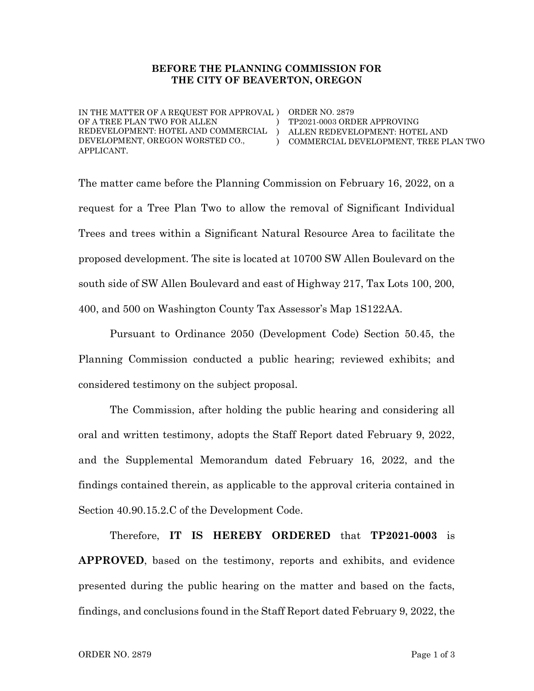#### BEFORE THE PLANNING COMMISSION FOR THE CITY OF BEAVERTON, OREGON

IN THE MATTER OF A REQUEST FOR APPROVAL ) ORDER NO. 2879 OF A TREE PLAN TWO FOR ALLEN REDEVELOPMENT: HOTEL AND COMMERCIAL ) DEVELOPMENT, OREGON WORSTED CO., APPLICANT.

) ) COMMERCIAL DEVELOPMENT, TREE PLAN TWO TP2021-0003 ORDER APPROVING ALLEN REDEVELOPMENT: HOTEL AND

The matter came before the Planning Commission on February 16, 2022, on a request for a Tree Plan Two to allow the removal of Significant Individual Trees and trees within a Significant Natural Resource Area to facilitate the proposed development. The site is located at 10700 SW Allen Boulevard on the south side of SW Allen Boulevard and east of Highway 217, Tax Lots 100, 200, 400, and 500 on Washington County Tax Assessor's Map 1S122AA.

Pursuant to Ordinance 2050 (Development Code) Section 50.45, the Planning Commission conducted a public hearing; reviewed exhibits; and considered testimony on the subject proposal.

The Commission, after holding the public hearing and considering all oral and written testimony, adopts the Staff Report dated February 9, 2022, and the Supplemental Memorandum dated February 16, 2022, and the findings contained therein, as applicable to the approval criteria contained in Section 40.90.15.2.C of the Development Code.

Therefore, IT IS HEREBY ORDERED that TP2021-0003 is APPROVED, based on the testimony, reports and exhibits, and evidence presented during the public hearing on the matter and based on the facts, findings, and conclusions found in the Staff Report dated February 9, 2022, the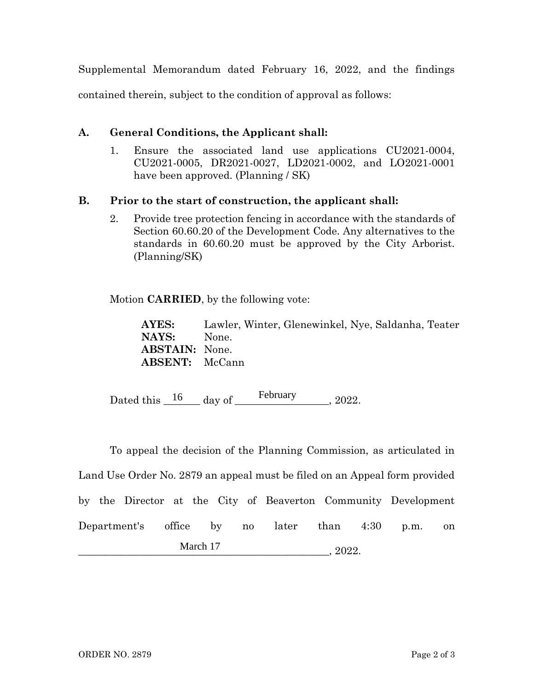Supplemental Memorandum dated February 16, 2022, and the findings contained therein, subject to the condition of approval as follows:

# A. General Conditions, the Applicant shall:

1. Ensure the associated land use applications CU2021-0004, CU2021-0005, DR2021-0027, LD2021-0002, and LO2021-0001 have been approved. (Planning / SK)

# B. Prior to the start of construction, the applicant shall:

2. Provide tree protection fencing in accordance with the standards of Section 60.60.20 of the Development Code. Any alternatives to the standards in 60.60.20 must be approved by the City Arborist. (Planning/SK)

Motion CARRIED, by the following vote:

AYES: Lawler, Winter, Glenewinkel, Nye, Saldanha, Teater NAYS: None. ABSTAIN: None. ABSENT: McCann

Dated this  $\frac{16}{\text{day of}}$  ebruary 2022.

To appeal the decision of the Planning Commission, as articulated in Land Use Order No. 2879 an appeal must be filed on an Appeal form provided by the Director at the City of Beaverton Community Development Department's office by no later than 4:30 p.m. on  $\frac{2022}{\cdots}$ March 17